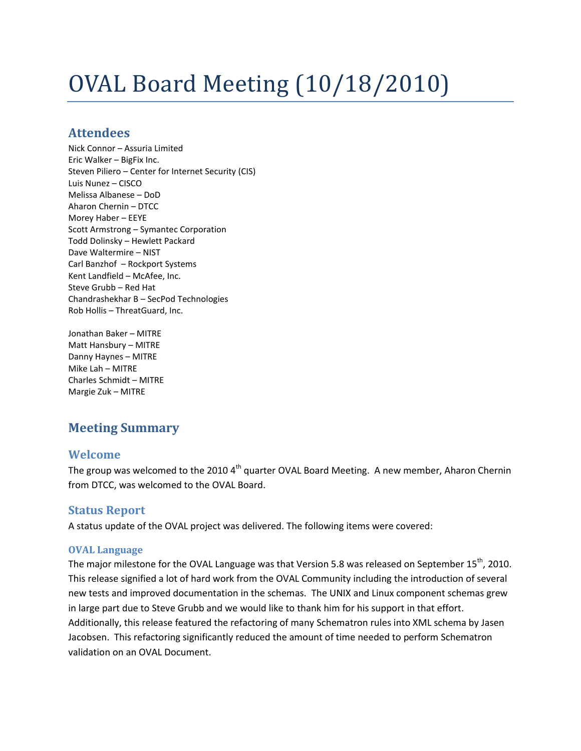# OVAL Board Meeting (10/18/2010)

## **Attendees**

Nick Connor – Assuria Limited Eric Walker – BigFix Inc. Steven Piliero – Center for Internet Security (CIS) Luis Nunez – CISCO Melissa Albanese – DoD Aharon Chernin – DTCC Morey Haber – EEYE Scott Armstrong – Symantec Corporation Todd Dolinsky – Hewlett Packard Dave Waltermire – NIST Carl Banzhof – Rockport Systems Kent Landfield – McAfee, Inc. Steve Grubb – Red Hat Chandrashekhar B – SecPod Technologies Rob Hollis – ThreatGuard, Inc.

Jonathan Baker – MITRE Matt Hansbury – MITRE Danny Haynes – MITRE Mike Lah – MITRE Charles Schmidt – MITRE Margie Zuk – MITRE

# **Meeting Summary**

## **Welcome**

The group was welcomed to the 2010 4<sup>th</sup> quarter OVAL Board Meeting. A new member, Aharon Chernin from DTCC, was welcomed to the OVAL Board.

## **Status Report**

A status update of the OVAL project was delivered. The following items were covered:

#### **OVAL Language**

The major milestone for the OVAL Language was that Version 5.8 was released on September 15<sup>th</sup>, 2010. This release signified a lot of hard work from the OVAL Community including the introduction of several new tests and improved documentation in the schemas. The UNIX and Linux component schemas grew in large part due to Steve Grubb and we would like to thank him for his support in that effort. Additionally, this release featured the refactoring of many Schematron rules into XML schema by Jasen Jacobsen. This refactoring significantly reduced the amount of time needed to perform Schematron validation on an OVAL Document.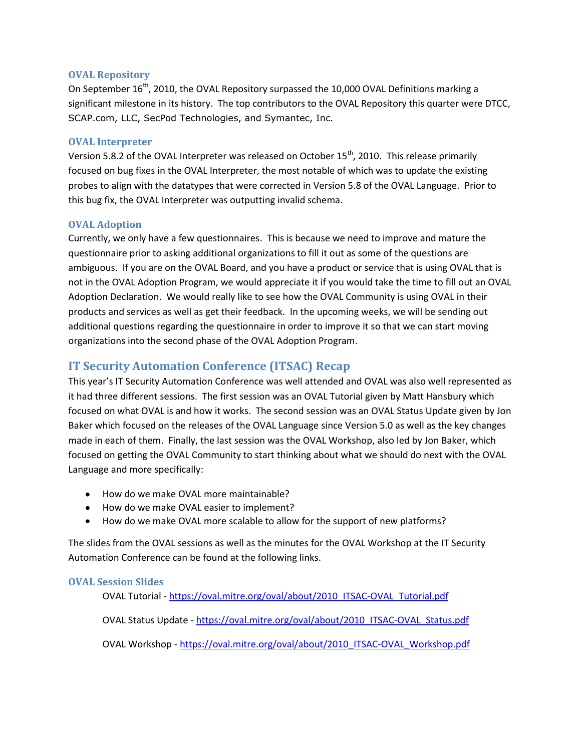#### **OVAL Repository**

On September  $16^{th}$ , 2010, the OVAL Repository surpassed the 10,000 OVAL Definitions marking a significant milestone in its history. The top contributors to the OVAL Repository this quarter were DTCC, SCAP.com, LLC, SecPod Technologies, and Symantec, Inc.

#### **OVAL Interpreter**

Version 5.8.2 of the OVAL Interpreter was released on October 15<sup>th</sup>, 2010. This release primarily focused on bug fixes in the OVAL Interpreter, the most notable of which was to update the existing probes to align with the datatypes that were corrected in Version 5.8 of the OVAL Language. Prior to this bug fix, the OVAL Interpreter was outputting invalid schema.

#### **OVAL Adoption**

Currently, we only have a few questionnaires. This is because we need to improve and mature the questionnaire prior to asking additional organizations to fill it out as some of the questions are ambiguous. If you are on the OVAL Board, and you have a product or service that is using OVAL that is not in the OVAL Adoption Program, we would appreciate it if you would take the time to fill out an OVAL Adoption Declaration. We would really like to see how the OVAL Community is using OVAL in their products and services as well as get their feedback. In the upcoming weeks, we will be sending out additional questions regarding the questionnaire in order to improve it so that we can start moving organizations into the second phase of the OVAL Adoption Program.

## **IT Security Automation Conference (ITSAC) Recap**

This year's IT Security Automation Conference was well attended and OVAL was also well represented as it had three different sessions. The first session was an OVAL Tutorial given by Matt Hansbury which focused on what OVAL is and how it works. The second session was an OVAL Status Update given by Jon Baker which focused on the releases of the OVAL Language since Version 5.0 as well as the key changes made in each of them. Finally, the last session was the OVAL Workshop, also led by Jon Baker, which focused on getting the OVAL Community to start thinking about what we should do next with the OVAL Language and more specifically:

- How do we make OVAL more maintainable?
- How do we make OVAL easier to implement?
- How do we make OVAL more scalable to allow for the support of new platforms?

The slides from the OVAL sessions as well as the minutes for the OVAL Workshop at the IT Security Automation Conference can be found at the following links.

#### **OVAL Session Slides**

OVAL Tutorial - [https://oval.mitre.org/oval/about/2010\\_ITSAC-OVAL\\_Tutorial.pdf](https://oval.mitre.org/oval/about/2010_ITSAC-OVAL_Tutorial.pdf)

OVAL Status Update - [https://oval.mitre.org/oval/about/2010\\_ITSAC-OVAL\\_Status.pdf](https://oval.mitre.org/oval/about/2010_ITSAC-OVAL_Status.pdf)

OVAL Workshop - [https://oval.mitre.org/oval/about/2010\\_ITSAC-OVAL\\_Workshop.pdf](https://oval.mitre.org/oval/about/2010_ITSAC-OVAL_Workshop.pdf)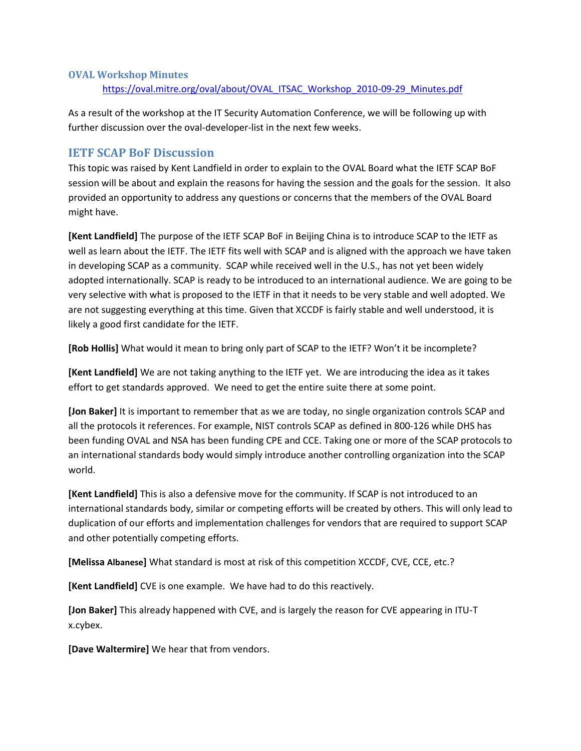#### **OVAL Workshop Minutes**

[https://oval.mitre.org/oval/about/OVAL\\_ITSAC\\_Workshop\\_2010-09-29\\_Minutes.pdf](https://oval.mitre.org/oval/about/OVAL_ITSAC_Workshop_2010-09-29_Minutes.pdf)

As a result of the workshop at the IT Security Automation Conference, we will be following up with further discussion over the oval-developer-list in the next few weeks.

### **IETF SCAP BoF Discussion**

This topic was raised by Kent Landfield in order to explain to the OVAL Board what the IETF SCAP BoF session will be about and explain the reasons for having the session and the goals for the session. It also provided an opportunity to address any questions or concerns that the members of the OVAL Board might have.

**[Kent Landfield]** The purpose of the IETF SCAP BoF in Beijing China is to introduce SCAP to the IETF as well as learn about the IETF. The IETF fits well with SCAP and is aligned with the approach we have taken in developing SCAP as a community. SCAP while received well in the U.S., has not yet been widely adopted internationally. SCAP is ready to be introduced to an international audience. We are going to be very selective with what is proposed to the IETF in that it needs to be very stable and well adopted. We are not suggesting everything at this time. Given that XCCDF is fairly stable and well understood, it is likely a good first candidate for the IETF.

**[Rob Hollis]** What would it mean to bring only part of SCAP to the IETF? Won't it be incomplete?

**[Kent Landfield]** We are not taking anything to the IETF yet. We are introducing the idea as it takes effort to get standards approved. We need to get the entire suite there at some point.

**[Jon Baker]** It is important to remember that as we are today, no single organization controls SCAP and all the protocols it references. For example, NIST controls SCAP as defined in 800-126 while DHS has been funding OVAL and NSA has been funding CPE and CCE. Taking one or more of the SCAP protocols to an international standards body would simply introduce another controlling organization into the SCAP world.

**[Kent Landfield]** This is also a defensive move for the community. If SCAP is not introduced to an international standards body, similar or competing efforts will be created by others. This will only lead to duplication of our efforts and implementation challenges for vendors that are required to support SCAP and other potentially competing efforts.

**[Melissa Albanese]** What standard is most at risk of this competition XCCDF, CVE, CCE, etc.?

**[Kent Landfield]** CVE is one example. We have had to do this reactively.

**[Jon Baker]** This already happened with CVE, and is largely the reason for CVE appearing in ITU-T x.cybex.

**[Dave Waltermire]** We hear that from vendors.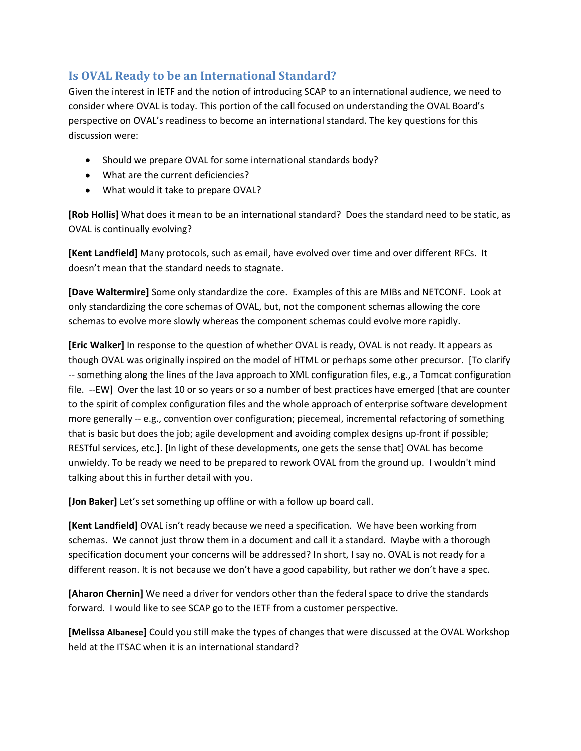# **Is OVAL Ready to be an International Standard?**

Given the interest in IETF and the notion of introducing SCAP to an international audience, we need to consider where OVAL is today. This portion of the call focused on understanding the OVAL Board's perspective on OVAL's readiness to become an international standard. The key questions for this discussion were:

- Should we prepare OVAL for some international standards body?
- What are the current deficiencies?
- What would it take to prepare OVAL?

**[Rob Hollis]** What does it mean to be an international standard? Does the standard need to be static, as OVAL is continually evolving?

**[Kent Landfield]** Many protocols, such as email, have evolved over time and over different RFCs. It doesn't mean that the standard needs to stagnate.

**[Dave Waltermire]** Some only standardize the core. Examples of this are MIBs and NETCONF. Look at only standardizing the core schemas of OVAL, but, not the component schemas allowing the core schemas to evolve more slowly whereas the component schemas could evolve more rapidly.

**[Eric Walker]** In response to the question of whether OVAL is ready, OVAL is not ready. It appears as though OVAL was originally inspired on the model of HTML or perhaps some other precursor. [To clarify -- something along the lines of the Java approach to XML configuration files, e.g., a Tomcat configuration file. --EW] Over the last 10 or so years or so a number of best practices have emerged [that are counter to the spirit of complex configuration files and the whole approach of enterprise software development more generally -- e.g., convention over configuration; piecemeal, incremental refactoring of something that is basic but does the job; agile development and avoiding complex designs up-front if possible; RESTful services, etc.]. [In light of these developments, one gets the sense that] OVAL has become unwieldy. To be ready we need to be prepared to rework OVAL from the ground up. I wouldn't mind talking about this in further detail with you.

**[Jon Baker]** Let's set something up offline or with a follow up board call.

**[Kent Landfield]** OVAL isn't ready because we need a specification. We have been working from schemas. We cannot just throw them in a document and call it a standard. Maybe with a thorough specification document your concerns will be addressed? In short, I say no. OVAL is not ready for a different reason. It is not because we don't have a good capability, but rather we don't have a spec.

**[Aharon Chernin]** We need a driver for vendors other than the federal space to drive the standards forward. I would like to see SCAP go to the IETF from a customer perspective.

**[Melissa Albanese]** Could you still make the types of changes that were discussed at the OVAL Workshop held at the ITSAC when it is an international standard?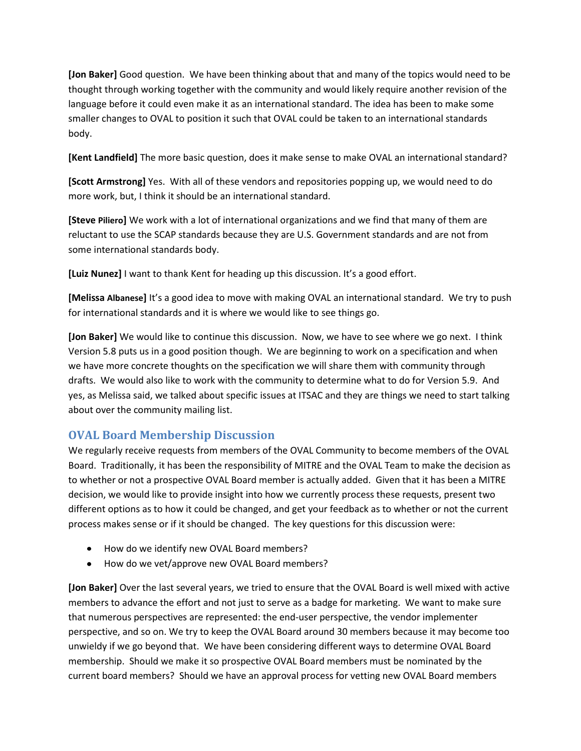**[Jon Baker]** Good question. We have been thinking about that and many of the topics would need to be thought through working together with the community and would likely require another revision of the language before it could even make it as an international standard. The idea has been to make some smaller changes to OVAL to position it such that OVAL could be taken to an international standards body.

**[Kent Landfield]** The more basic question, does it make sense to make OVAL an international standard?

**[Scott Armstrong]** Yes. With all of these vendors and repositories popping up, we would need to do more work, but, I think it should be an international standard.

**[Steve Piliero]** We work with a lot of international organizations and we find that many of them are reluctant to use the SCAP standards because they are U.S. Government standards and are not from some international standards body.

**[Luiz Nunez]** I want to thank Kent for heading up this discussion. It's a good effort.

**[Melissa Albanese]** It's a good idea to move with making OVAL an international standard. We try to push for international standards and it is where we would like to see things go.

**[Jon Baker]** We would like to continue this discussion. Now, we have to see where we go next. I think Version 5.8 puts us in a good position though. We are beginning to work on a specification and when we have more concrete thoughts on the specification we will share them with community through drafts. We would also like to work with the community to determine what to do for Version 5.9. And yes, as Melissa said, we talked about specific issues at ITSAC and they are things we need to start talking about over the community mailing list.

## **OVAL Board Membership Discussion**

We regularly receive requests from members of the OVAL Community to become members of the OVAL Board. Traditionally, it has been the responsibility of MITRE and the OVAL Team to make the decision as to whether or not a prospective OVAL Board member is actually added. Given that it has been a MITRE decision, we would like to provide insight into how we currently process these requests, present two different options as to how it could be changed, and get your feedback as to whether or not the current process makes sense or if it should be changed. The key questions for this discussion were:

- How do we identify new OVAL Board members?
- How do we vet/approve new OVAL Board members?

**[Jon Baker]** Over the last several years, we tried to ensure that the OVAL Board is well mixed with active members to advance the effort and not just to serve as a badge for marketing. We want to make sure that numerous perspectives are represented: the end-user perspective, the vendor implementer perspective, and so on. We try to keep the OVAL Board around 30 members because it may become too unwieldy if we go beyond that. We have been considering different ways to determine OVAL Board membership. Should we make it so prospective OVAL Board members must be nominated by the current board members? Should we have an approval process for vetting new OVAL Board members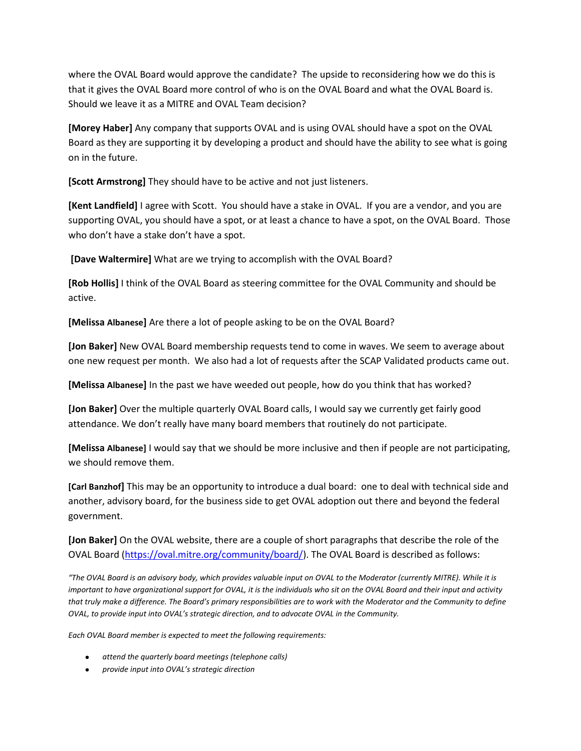where the OVAL Board would approve the candidate? The upside to reconsidering how we do this is that it gives the OVAL Board more control of who is on the OVAL Board and what the OVAL Board is. Should we leave it as a MITRE and OVAL Team decision?

**[Morey Haber]** Any company that supports OVAL and is using OVAL should have a spot on the OVAL Board as they are supporting it by developing a product and should have the ability to see what is going on in the future.

**[Scott Armstrong]** They should have to be active and not just listeners.

**[Kent Landfield]** I agree with Scott. You should have a stake in OVAL. If you are a vendor, and you are supporting OVAL, you should have a spot, or at least a chance to have a spot, on the OVAL Board. Those who don't have a stake don't have a spot.

**[Dave Waltermire]** What are we trying to accomplish with the OVAL Board?

**[Rob Hollis]** I think of the OVAL Board as steering committee for the OVAL Community and should be active.

**[Melissa Albanese]** Are there a lot of people asking to be on the OVAL Board?

**[Jon Baker]** New OVAL Board membership requests tend to come in waves. We seem to average about one new request per month. We also had a lot of requests after the SCAP Validated products came out.

**[Melissa Albanese]** In the past we have weeded out people, how do you think that has worked?

**[Jon Baker]** Over the multiple quarterly OVAL Board calls, I would say we currently get fairly good attendance. We don't really have many board members that routinely do not participate.

**[Melissa Albanese]** I would say that we should be more inclusive and then if people are not participating, we should remove them.

**[Carl Banzhof]** This may be an opportunity to introduce a dual board: one to deal with technical side and another, advisory board, for the business side to get OVAL adoption out there and beyond the federal government.

**[Jon Baker]** On the OVAL website, there are a couple of short paragraphs that describe the role of the OVAL Board [\(https://oval.mitre.org/community/board/\)](https://oval.mitre.org/community/board/). The OVAL Board is described as follows:

*"The OVAL Board is an advisory body, which provides valuable input on OVAL to the Moderator (currently MITRE). While it is important to have organizational support for OVAL, it is the individuals who sit on the OVAL Board and their input and activity that truly make a difference. The Board's primary responsibilities are to work with the Moderator and the Community to define OVAL, to provide input into OVAL's strategic direction, and to advocate OVAL in the Community.*

*Each OVAL Board member is expected to meet the following requirements:*

- *attend the quarterly board meetings (telephone calls)*
- *provide input into OVAL's strategic direction*